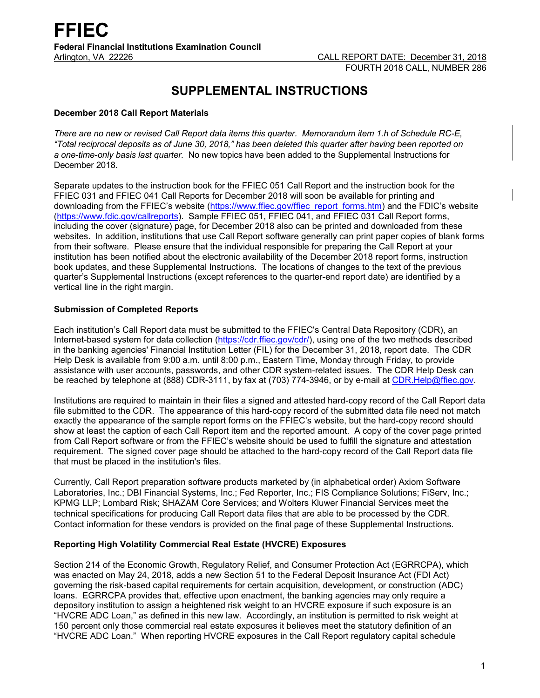# **SUPPLEMENTAL INSTRUCTIONS**

# **December 2018 Call Report Materials**

*There are no new or revised Call Report data items this quarter. Memorandum item 1.h of Schedule RC-E, "Total reciprocal deposits as of June 30, 2018," has been deleted this quarter after having been reported on a one-time-only basis last quarter.* No new topics have been added to the Supplemental Instructions for December 2018.

Separate updates to the instruction book for the FFIEC 051 Call Report and the instruction book for the FFIEC 031 and FFIEC 041 Call Reports for December 2018 will soon be available for printing and downloading from the FFIEC's website [\(https://www.ffiec.gov/ffiec\\_report\\_forms.htm\)](https://www.ffiec.gov/ffiec_report_forms.htm) and the FDIC's website [\(https://www.fdic.gov/callreports\)](https://www.fdic.gov/callreports). Sample FFIEC 051, FFIEC 041, and FFIEC 031 Call Report forms, including the cover (signature) page, for December 2018 also can be printed and downloaded from these websites. In addition, institutions that use Call Report software generally can print paper copies of blank forms from their software. Please ensure that the individual responsible for preparing the Call Report at your institution has been notified about the electronic availability of the December 2018 report forms, instruction book updates, and these Supplemental Instructions. The locations of changes to the text of the previous quarter's Supplemental Instructions (except references to the quarter-end report date) are identified by a vertical line in the right margin.

# **Submission of Completed Reports**

Each institution's Call Report data must be submitted to the FFIEC's Central Data Repository (CDR), an Internet-based system for data collection [\(https://cdr.ffiec.gov/cdr/\)](https://cdr.ffiec.gov/cdr/), using one of the two methods described in the banking agencies' Financial Institution Letter (FIL) for the December 31, 2018, report date. The CDR Help Desk is available from 9:00 a.m. until 8:00 p.m., Eastern Time, Monday through Friday, to provide assistance with user accounts, passwords, and other CDR system-related issues. The CDR Help Desk can be reached by telephone at (888) CDR-3111, by fax at (703) 774-3946, or by e-mail at [CDR.Help@ffiec.gov.](mailto:CDR.Help@ffiec.gov)

Institutions are required to maintain in their files a signed and attested hard-copy record of the Call Report data file submitted to the CDR. The appearance of this hard-copy record of the submitted data file need not match exactly the appearance of the sample report forms on the FFIEC's website, but the hard-copy record should show at least the caption of each Call Report item and the reported amount. A copy of the cover page printed from Call Report software or from the FFIEC's website should be used to fulfill the signature and attestation requirement. The signed cover page should be attached to the hard-copy record of the Call Report data file that must be placed in the institution's files.

Currently, Call Report preparation software products marketed by (in alphabetical order) Axiom Software Laboratories, Inc.; DBI Financial Systems, Inc.; Fed Reporter, Inc.; FIS Compliance Solutions; FiServ, Inc.; KPMG LLP; Lombard Risk; SHAZAM Core Services; and Wolters Kluwer Financial Services meet the technical specifications for producing Call Report data files that are able to be processed by the CDR. Contact information for these vendors is provided on the final page of these Supplemental Instructions.

# **Reporting High Volatility Commercial Real Estate (HVCRE) Exposures**

Section 214 of the Economic Growth, Regulatory Relief, and Consumer Protection Act (EGRRCPA), which was enacted on May 24, 2018, adds a new Section 51 to the Federal Deposit Insurance Act (FDI Act) governing the risk-based capital requirements for certain acquisition, development, or construction (ADC) loans. EGRRCPA provides that, effective upon enactment, the banking agencies may only require a depository institution to assign a heightened risk weight to an HVCRE exposure if such exposure is an "HVCRE ADC Loan," as defined in this new law. Accordingly, an institution is permitted to risk weight at 150 percent only those commercial real estate exposures it believes meet the statutory definition of an "HVCRE ADC Loan." When reporting HVCRE exposures in the Call Report regulatory capital schedule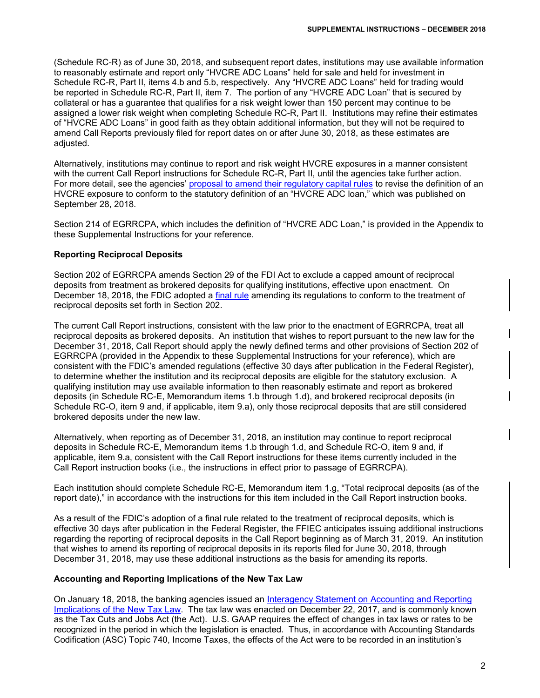(Schedule RC-R) as of June 30, 2018, and subsequent report dates, institutions may use available information to reasonably estimate and report only "HVCRE ADC Loans" held for sale and held for investment in Schedule RC-R, Part II, items 4.b and 5.b, respectively. Any "HVCRE ADC Loans" held for trading would be reported in Schedule RC-R, Part II, item 7. The portion of any "HVCRE ADC Loan" that is secured by collateral or has a guarantee that qualifies for a risk weight lower than 150 percent may continue to be assigned a lower risk weight when completing Schedule RC-R, Part II. Institutions may refine their estimates of "HVCRE ADC Loans" in good faith as they obtain additional information, but they will not be required to amend Call Reports previously filed for report dates on or after June 30, 2018, as these estimates are adjusted.

Alternatively, institutions may continue to report and risk weight HVCRE exposures in a manner consistent with the current Call Report instructions for Schedule RC-R, Part II, until the agencies take further action. For more detail, see the agencies' [proposal to amend their regulatory capital](https://www.govinfo.gov/content/pkg/FR-2018-09-28/pdf/2018-20875.pdf) rules to revise the definition of an HVCRE exposure to conform to the statutory definition of an "HVCRE ADC loan," which was published on September 28, 2018.

Section 214 of EGRRCPA, which includes the definition of "HVCRE ADC Loan," is provided in the Appendix to these Supplemental Instructions for your reference.

# **Reporting Reciprocal Deposits**

Section 202 of EGRRCPA amends Section 29 of the FDI Act to exclude a capped amount of reciprocal deposits from treatment as brokered deposits for qualifying institutions, effective upon enactment. On December 18, 2018, the FDIC adopted a [final rule](https://www.fdic.gov/news/board/2018/2018-12-18-notice-sum-h-fr.pdf) amending its regulations to conform to the treatment of reciprocal deposits set forth in Section 202.

The current Call Report instructions, consistent with the law prior to the enactment of EGRRCPA, treat all reciprocal deposits as brokered deposits. An institution that wishes to report pursuant to the new law for the December 31, 2018, Call Report should apply the newly defined terms and other provisions of Section 202 of EGRRCPA (provided in the Appendix to these Supplemental Instructions for your reference), which are consistent with the FDIC's amended regulations (effective 30 days after publication in the Federal Register), to determine whether the institution and its reciprocal deposits are eligible for the statutory exclusion. A qualifying institution may use available information to then reasonably estimate and report as brokered deposits (in Schedule RC-E, Memorandum items 1.b through 1.d), and brokered reciprocal deposits (in Schedule RC-O, item 9 and, if applicable, item 9.a), only those reciprocal deposits that are still considered brokered deposits under the new law.

Alternatively, when reporting as of December 31, 2018, an institution may continue to report reciprocal deposits in Schedule RC-E, Memorandum items 1.b through 1.d, and Schedule RC-O, item 9 and, if applicable, item 9.a, consistent with the Call Report instructions for these items currently included in the Call Report instruction books (i.e., the instructions in effect prior to passage of EGRRCPA).

Each institution should complete Schedule RC-E, Memorandum item 1.g, "Total reciprocal deposits (as of the report date)," in accordance with the instructions for this item included in the Call Report instruction books.

As a result of the FDIC's adoption of a final rule related to the treatment of reciprocal deposits, which is effective 30 days after publication in the Federal Register, the FFIEC anticipates issuing additional instructions regarding the reporting of reciprocal deposits in the Call Report beginning as of March 31, 2019. An institution that wishes to amend its reporting of reciprocal deposits in its reports filed for June 30, 2018, through December 31, 2018, may use these additional instructions as the basis for amending its reports.

## **Accounting and Reporting Implications of the New Tax Law**

On January 18, 2018, the banking agencies issued an [Interagency Statement on Accounting and Reporting](https://www.fdic.gov/news/news/financial/2018/fil18006a.pdf)  [Implications of the New Tax Law.](https://www.fdic.gov/news/news/financial/2018/fil18006a.pdf) The tax law was enacted on December 22, 2017, and is commonly known as the Tax Cuts and Jobs Act (the Act). U.S. GAAP requires the effect of changes in tax laws or rates to be recognized in the period in which the legislation is enacted. Thus, in accordance with Accounting Standards Codification (ASC) Topic 740, Income Taxes, the effects of the Act were to be recorded in an institution's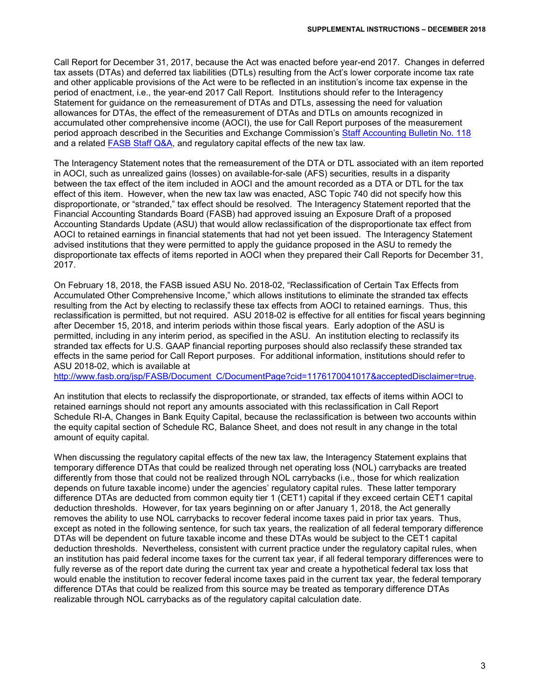Call Report for December 31, 2017, because the Act was enacted before year-end 2017. Changes in deferred tax assets (DTAs) and deferred tax liabilities (DTLs) resulting from the Act's lower corporate income tax rate and other applicable provisions of the Act were to be reflected in an institution's income tax expense in the period of enactment, i.e., the year-end 2017 Call Report. Institutions should refer to the Interagency Statement for guidance on the remeasurement of DTAs and DTLs, assessing the need for valuation allowances for DTAs, the effect of the remeasurement of DTAs and DTLs on amounts recognized in accumulated other comprehensive income (AOCI), the use for Call Report purposes of the measurement period approach described in the Securities and Exchange Commission's [Staff Accounting Bulletin No. 118](https://www.sec.gov/interps/account/staff-accounting-bulletin-118.htm) and a related FASB [Staff Q&A,](http://www.fasb.org/cs/ContentServer?c=Document_C&cid=1176169782120&d=&pagename=FASB%2FDocument_C%2FDocumentPage) and regulatory capital effects of the new tax law.

The Interagency Statement notes that the remeasurement of the DTA or DTL associated with an item reported in AOCI, such as unrealized gains (losses) on available-for-sale (AFS) securities, results in a disparity between the tax effect of the item included in AOCI and the amount recorded as a DTA or DTL for the tax effect of this item. However, when the new tax law was enacted, ASC Topic 740 did not specify how this disproportionate, or "stranded," tax effect should be resolved. The Interagency Statement reported that the Financial Accounting Standards Board (FASB) had approved issuing an Exposure Draft of a proposed Accounting Standards Update (ASU) that would allow reclassification of the disproportionate tax effect from AOCI to retained earnings in financial statements that had not yet been issued. The Interagency Statement advised institutions that they were permitted to apply the guidance proposed in the ASU to remedy the disproportionate tax effects of items reported in AOCI when they prepared their Call Reports for December 31, 2017.

On February 18, 2018, the FASB issued ASU No. 2018-02, "Reclassification of Certain Tax Effects from Accumulated Other Comprehensive Income," which allows institutions to eliminate the stranded tax effects resulting from the Act by electing to reclassify these tax effects from AOCI to retained earnings. Thus, this reclassification is permitted, but not required. ASU 2018-02 is effective for all entities for fiscal years beginning after December 15, 2018, and interim periods within those fiscal years. Early adoption of the ASU is permitted, including in any interim period, as specified in the ASU. An institution electing to reclassify its stranded tax effects for U.S. GAAP financial reporting purposes should also reclassify these stranded tax effects in the same period for Call Report purposes. For additional information, institutions should refer to ASU 2018-02, which is available at

[http://www.fasb.org/jsp/FASB/Document\\_C/DocumentPage?cid=1176170041017&acceptedDisclaimer=true.](http://www.fasb.org/jsp/FASB/Document_C/DocumentPage?cid=1176170041017&acceptedDisclaimer=true)

An institution that elects to reclassify the disproportionate, or stranded, tax effects of items within AOCI to retained earnings should not report any amounts associated with this reclassification in Call Report Schedule RI-A, Changes in Bank Equity Capital, because the reclassification is between two accounts within the equity capital section of Schedule RC, Balance Sheet, and does not result in any change in the total amount of equity capital.

When discussing the regulatory capital effects of the new tax law, the Interagency Statement explains that temporary difference DTAs that could be realized through net operating loss (NOL) carrybacks are treated differently from those that could not be realized through NOL carrybacks (i.e., those for which realization depends on future taxable income) under the agencies' regulatory capital rules. These latter temporary difference DTAs are deducted from common equity tier 1 (CET1) capital if they exceed certain CET1 capital deduction thresholds. However, for tax years beginning on or after January 1, 2018, the Act generally removes the ability to use NOL carrybacks to recover federal income taxes paid in prior tax years. Thus, except as noted in the following sentence, for such tax years, the realization of all federal temporary difference DTAs will be dependent on future taxable income and these DTAs would be subject to the CET1 capital deduction thresholds. Nevertheless, consistent with current practice under the regulatory capital rules, when an institution has paid federal income taxes for the current tax year, if all federal temporary differences were to fully reverse as of the report date during the current tax year and create a hypothetical federal tax loss that would enable the institution to recover federal income taxes paid in the current tax year, the federal temporary difference DTAs that could be realized from this source may be treated as temporary difference DTAs realizable through NOL carrybacks as of the regulatory capital calculation date.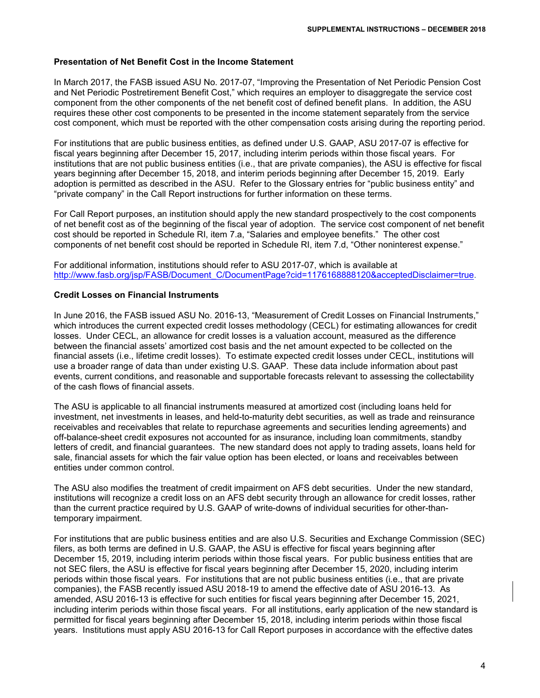## **Presentation of Net Benefit Cost in the Income Statement**

In March 2017, the FASB issued ASU No. 2017-07, "Improving the Presentation of Net Periodic Pension Cost and Net Periodic Postretirement Benefit Cost," which requires an employer to disaggregate the service cost component from the other components of the net benefit cost of defined benefit plans. In addition, the ASU requires these other cost components to be presented in the income statement separately from the service cost component, which must be reported with the other compensation costs arising during the reporting period.

For institutions that are public business entities, as defined under U.S. GAAP, ASU 2017-07 is effective for fiscal years beginning after December 15, 2017, including interim periods within those fiscal years. For institutions that are not public business entities (i.e., that are private companies), the ASU is effective for fiscal years beginning after December 15, 2018, and interim periods beginning after December 15, 2019. Early adoption is permitted as described in the ASU. Refer to the Glossary entries for "public business entity" and "private company" in the Call Report instructions for further information on these terms.

For Call Report purposes, an institution should apply the new standard prospectively to the cost components of net benefit cost as of the beginning of the fiscal year of adoption. The service cost component of net benefit cost should be reported in Schedule RI, item 7.a, "Salaries and employee benefits." The other cost components of net benefit cost should be reported in Schedule RI, item 7.d, "Other noninterest expense."

For additional information, institutions should refer to ASU 2017-07, which is available at [http://www.fasb.org/jsp/FASB/Document\\_C/DocumentPage?cid=1176168888120&acceptedDisclaimer=true.](http://www.fasb.org/jsp/FASB/Document_C/DocumentPage?cid=1176168888120&acceptedDisclaimer=true)

#### **Credit Losses on Financial Instruments**

In June 2016, the FASB issued ASU No. 2016-13, "Measurement of Credit Losses on Financial Instruments," which introduces the current expected credit losses methodology (CECL) for estimating allowances for credit losses. Under CECL, an allowance for credit losses is a valuation account, measured as the difference between the financial assets' amortized cost basis and the net amount expected to be collected on the financial assets (i.e., lifetime credit losses). To estimate expected credit losses under CECL, institutions will use a broader range of data than under existing U.S. GAAP. These data include information about past events, current conditions, and reasonable and supportable forecasts relevant to assessing the collectability of the cash flows of financial assets.

The ASU is applicable to all financial instruments measured at amortized cost (including loans held for investment, net investments in leases, and held-to-maturity debt securities, as well as trade and reinsurance receivables and receivables that relate to repurchase agreements and securities lending agreements) and off-balance-sheet credit exposures not accounted for as insurance, including loan commitments, standby letters of credit, and financial guarantees. The new standard does not apply to trading assets, loans held for sale, financial assets for which the fair value option has been elected, or loans and receivables between entities under common control.

The ASU also modifies the treatment of credit impairment on AFS debt securities. Under the new standard, institutions will recognize a credit loss on an AFS debt security through an allowance for credit losses, rather than the current practice required by U.S. GAAP of write-downs of individual securities for other-thantemporary impairment.

For institutions that are public business entities and are also U.S. Securities and Exchange Commission (SEC) filers, as both terms are defined in U.S. GAAP, the ASU is effective for fiscal years beginning after December 15, 2019, including interim periods within those fiscal years. For public business entities that are not SEC filers, the ASU is effective for fiscal years beginning after December 15, 2020, including interim periods within those fiscal years. For institutions that are not public business entities (i.e., that are private companies), the FASB recently issued ASU 2018-19 to amend the effective date of ASU 2016-13. As amended, ASU 2016-13 is effective for such entities for fiscal years beginning after December 15, 2021, including interim periods within those fiscal years. For all institutions, early application of the new standard is permitted for fiscal years beginning after December 15, 2018, including interim periods within those fiscal years. Institutions must apply ASU 2016-13 for Call Report purposes in accordance with the effective dates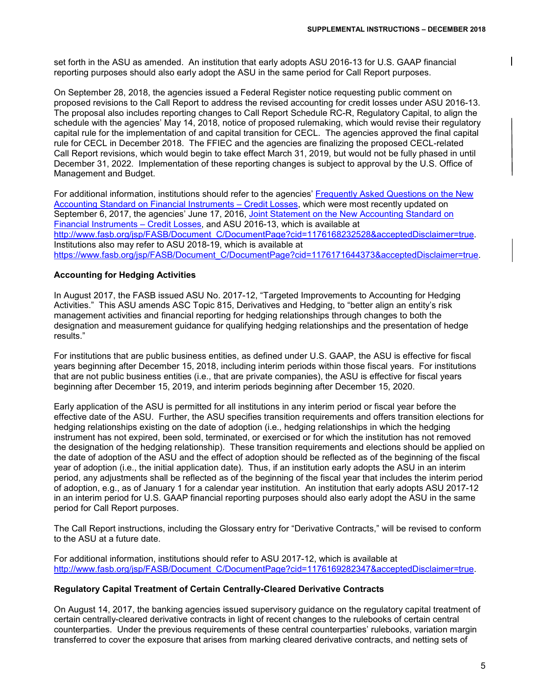set forth in the ASU as amended. An institution that early adopts ASU 2016-13 for U.S. GAAP financial reporting purposes should also early adopt the ASU in the same period for Call Report purposes.

On September 28, 2018, the agencies issued a Federal Register notice requesting public comment on proposed revisions to the Call Report to address the revised accounting for credit losses under ASU 2016-13. The proposal also includes reporting changes to Call Report Schedule RC-R, Regulatory Capital, to align the schedule with the agencies' May 14, 2018, notice of proposed rulemaking, which would revise their regulatory capital rule for the implementation of and capital transition for CECL. The agencies approved the final capital rule for CECL in December 2018. The FFIEC and the agencies are finalizing the proposed CECL-related Call Report revisions, which would begin to take effect March 31, 2019, but would not be fully phased in until December 31, 2022. Implementation of these reporting changes is subject to approval by the U.S. Office of Management and Budget.

For additional information, institutions should refer to the agencies' Frequently Asked Questions on the New [Accounting Standard on Financial Instruments –](https://www.occ.treas.gov/news-issuances/bulletins/2016/bulletin-2016-45a.pdf) Credit Losses, which were most recently updated on September 6, 2017, the agencies' June 17, 2016, [Joint Statement on the New Accounting Standard on](https://www.federalreserve.gov/newsevents/pressreleases/files/bcreg20160617b1.pdf)  [Financial Instruments –](https://www.federalreserve.gov/newsevents/pressreleases/files/bcreg20160617b1.pdf) Credit Losses, and ASU 2016-13, which is available at [http://www.fasb.org/jsp/FASB/Document\\_C/DocumentPage?cid=1176168232528&acceptedDisclaimer=true.](http://www.fasb.org/jsp/FASB/Document_C/DocumentPage?cid=1176168232528&acceptedDisclaimer=true) Institutions also may refer to ASU 2018-19, which is available at [https://www.fasb.org/jsp/FASB/Document\\_C/DocumentPage?cid=1176171644373&acceptedDisclaimer=true.](https://www.fasb.org/jsp/FASB/Document_C/DocumentPage?cid=1176171644373&acceptedDisclaimer=true)

# **Accounting for Hedging Activities**

In August 2017, the FASB issued ASU No. 2017-12, "Targeted Improvements to Accounting for Hedging Activities." This ASU amends ASC Topic 815, Derivatives and Hedging, to "better align an entity's risk management activities and financial reporting for hedging relationships through changes to both the designation and measurement guidance for qualifying hedging relationships and the presentation of hedge results."

For institutions that are public business entities, as defined under U.S. GAAP, the ASU is effective for fiscal years beginning after December 15, 2018, including interim periods within those fiscal years. For institutions that are not public business entities (i.e., that are private companies), the ASU is effective for fiscal years beginning after December 15, 2019, and interim periods beginning after December 15, 2020.

Early application of the ASU is permitted for all institutions in any interim period or fiscal year before the effective date of the ASU. Further, the ASU specifies transition requirements and offers transition elections for hedging relationships existing on the date of adoption (i.e., hedging relationships in which the hedging instrument has not expired, been sold, terminated, or exercised or for which the institution has not removed the designation of the hedging relationship). These transition requirements and elections should be applied on the date of adoption of the ASU and the effect of adoption should be reflected as of the beginning of the fiscal year of adoption (i.e., the initial application date). Thus, if an institution early adopts the ASU in an interim period, any adjustments shall be reflected as of the beginning of the fiscal year that includes the interim period of adoption, e.g., as of January 1 for a calendar year institution. An institution that early adopts ASU 2017-12 in an interim period for U.S. GAAP financial reporting purposes should also early adopt the ASU in the same period for Call Report purposes.

The Call Report instructions, including the Glossary entry for "Derivative Contracts," will be revised to conform to the ASU at a future date.

For additional information, institutions should refer to ASU 2017-12, which is available at [http://www.fasb.org/jsp/FASB/Document\\_C/DocumentPage?cid=1176169282347&acceptedDisclaimer=true.](http://www.fasb.org/jsp/FASB/Document_C/DocumentPage?cid=1176169282347&acceptedDisclaimer=true)

## **Regulatory Capital Treatment of Certain Centrally-Cleared Derivative Contracts**

On August 14, 2017, the banking agencies issued supervisory guidance on the regulatory capital treatment of certain centrally-cleared derivative contracts in light of recent changes to the rulebooks of certain central counterparties. Under the previous requirements of these central counterparties' rulebooks, variation margin transferred to cover the exposure that arises from marking cleared derivative contracts, and netting sets of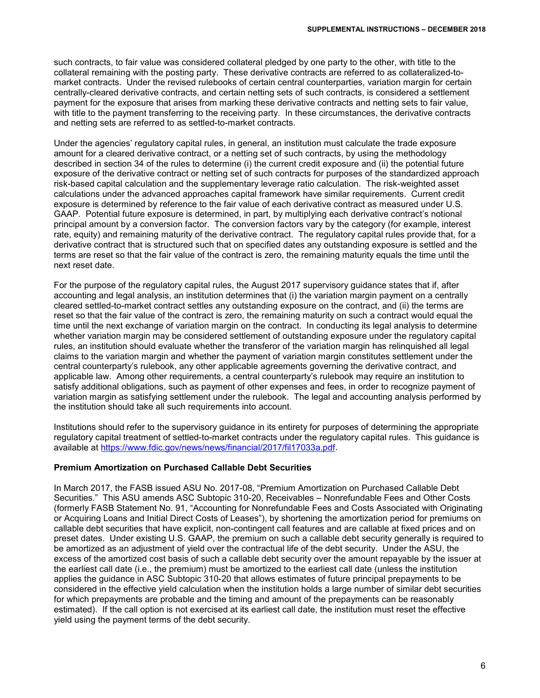such contracts, to fair value was considered collateral pledged by one party to the other, with title to the collateral remaining with the posting party. These derivative contracts are referred to as collateralized-tomarket contracts. Under the revised rulebooks of certain central counterparties, variation margin for certain centrally-cleared derivative contracts, and certain netting sets of such contracts, is considered a settlement payment for the exposure that arises from marking these derivative contracts and netting sets to fair value, with title to the payment transferring to the receiving party. In these circumstances, the derivative contracts and netting sets are referred to as settled-to-market contracts.

Under the agencies' regulatory capital rules, in general, an institution must calculate the trade exposure amount for a cleared derivative contract, or a netting set of such contracts, by using the methodology described in section 34 of the rules to determine (i) the current credit exposure and (ii) the potential future exposure of the derivative contract or netting set of such contracts for purposes of the standardized approach risk-based capital calculation and the supplementary leverage ratio calculation. The risk-weighted asset calculations under the advanced approaches capital framework have similar requirements. Current credit exposure is determined by reference to the fair value of each derivative contract as measured under U.S. GAAP. Potential future exposure is determined, in part, by multiplying each derivative contract's notional principal amount by a conversion factor. The conversion factors vary by the category (for example, interest rate, equity) and remaining maturity of the derivative contract. The regulatory capital rules provide that, for a derivative contract that is structured such that on specified dates any outstanding exposure is settled and the terms are reset so that the fair value of the contract is zero, the remaining maturity equals the time until the next reset date.

For the purpose of the regulatory capital rules, the August 2017 supervisory guidance states that if, after accounting and legal analysis, an institution determines that (i) the variation margin payment on a centrally cleared settled-to-market contract settles any outstanding exposure on the contract, and (ii) the terms are reset so that the fair value of the contract is zero, the remaining maturity on such a contract would equal the time until the next exchange of variation margin on the contract. In conducting its legal analysis to determine whether variation margin may be considered settlement of outstanding exposure under the regulatory capital rules, an institution should evaluate whether the transferor of the variation margin has relinquished all legal claims to the variation margin and whether the payment of variation margin constitutes settlement under the central counterparty's rulebook, any other applicable agreements governing the derivative contract, and applicable law. Among other requirements, a central counterparty's rulebook may require an institution to satisfy additional obligations, such as payment of other expenses and fees, in order to recognize payment of variation margin as satisfying settlement under the rulebook. The legal and accounting analysis performed by the institution should take all such requirements into account.

Institutions should refer to the supervisory guidance in its entirety for purposes of determining the appropriate regulatory capital treatment of settled-to-market contracts under the regulatory capital rules. This guidance is available at [https://www.fdic.gov/news/news/financial/2017/fil17033a.pdf.](https://www.fdic.gov/news/news/financial/2017/fil17033a.pdf)

## **Premium Amortization on Purchased Callable Debt Securities**

In March 2017, the FASB issued ASU No. 2017-08, "Premium Amortization on Purchased Callable Debt Securities." This ASU amends ASC Subtopic 310-20, Receivables – Nonrefundable Fees and Other Costs (formerly FASB Statement No. 91, "Accounting for Nonrefundable Fees and Costs Associated with Originating or Acquiring Loans and Initial Direct Costs of Leases"), by shortening the amortization period for premiums on callable debt securities that have explicit, non-contingent call features and are callable at fixed prices and on preset dates. Under existing U.S. GAAP, the premium on such a callable debt security generally is required to be amortized as an adjustment of yield over the contractual life of the debt security. Under the ASU, the excess of the amortized cost basis of such a callable debt security over the amount repayable by the issuer at the earliest call date (i.e., the premium) must be amortized to the earliest call date (unless the institution applies the guidance in ASC Subtopic 310-20 that allows estimates of future principal prepayments to be considered in the effective yield calculation when the institution holds a large number of similar debt securities for which prepayments are probable and the timing and amount of the prepayments can be reasonably estimated). If the call option is not exercised at its earliest call date, the institution must reset the effective yield using the payment terms of the debt security.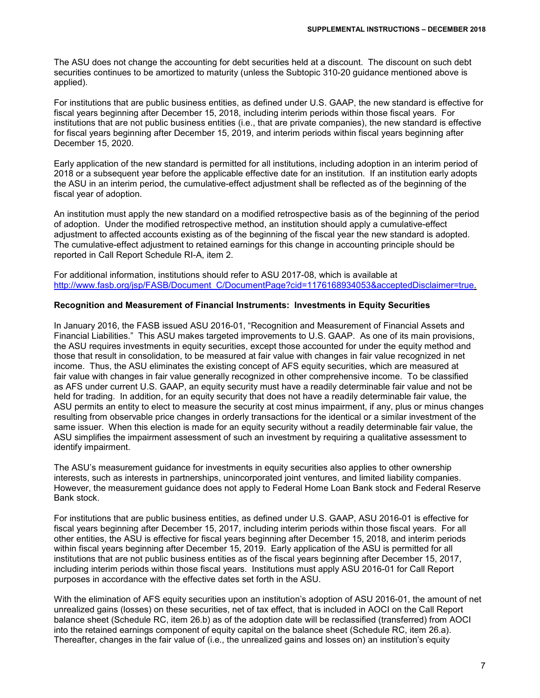The ASU does not change the accounting for debt securities held at a discount. The discount on such debt securities continues to be amortized to maturity (unless the Subtopic 310-20 guidance mentioned above is applied).

For institutions that are public business entities, as defined under U.S. GAAP, the new standard is effective for fiscal years beginning after December 15, 2018, including interim periods within those fiscal years. For institutions that are not public business entities (i.e., that are private companies), the new standard is effective for fiscal years beginning after December 15, 2019, and interim periods within fiscal years beginning after December 15, 2020.

Early application of the new standard is permitted for all institutions, including adoption in an interim period of 2018 or a subsequent year before the applicable effective date for an institution. If an institution early adopts the ASU in an interim period, the cumulative-effect adjustment shall be reflected as of the beginning of the fiscal year of adoption.

An institution must apply the new standard on a modified retrospective basis as of the beginning of the period of adoption. Under the modified retrospective method, an institution should apply a cumulative-effect adjustment to affected accounts existing as of the beginning of the fiscal year the new standard is adopted. The cumulative-effect adjustment to retained earnings for this change in accounting principle should be reported in Call Report Schedule RI-A, item 2.

For additional information, institutions should refer to ASU 2017-08, which is available at [http://www.fasb.org/jsp/FASB/Document\\_C/DocumentPage?cid=1176168934053&acceptedDisclaimer=true.](http://www.fasb.org/jsp/FASB/Document_C/DocumentPage?cid=1176168934053&acceptedDisclaimer=true)

# **Recognition and Measurement of Financial Instruments: Investments in Equity Securities**

In January 2016, the FASB issued ASU 2016-01, "Recognition and Measurement of Financial Assets and Financial Liabilities." This ASU makes targeted improvements to U.S. GAAP. As one of its main provisions, the ASU requires investments in equity securities, except those accounted for under the equity method and those that result in consolidation, to be measured at fair value with changes in fair value recognized in net income. Thus, the ASU eliminates the existing concept of AFS equity securities, which are measured at fair value with changes in fair value generally recognized in other comprehensive income. To be classified as AFS under current U.S. GAAP, an equity security must have a readily determinable fair value and not be held for trading. In addition, for an equity security that does not have a readily determinable fair value, the ASU permits an entity to elect to measure the security at cost minus impairment, if any, plus or minus changes resulting from observable price changes in orderly transactions for the identical or a similar investment of the same issuer. When this election is made for an equity security without a readily determinable fair value, the ASU simplifies the impairment assessment of such an investment by requiring a qualitative assessment to identify impairment.

The ASU's measurement guidance for investments in equity securities also applies to other ownership interests, such as interests in partnerships, unincorporated joint ventures, and limited liability companies. However, the measurement guidance does not apply to Federal Home Loan Bank stock and Federal Reserve Bank stock.

For institutions that are public business entities, as defined under U.S. GAAP, ASU 2016-01 is effective for fiscal years beginning after December 15, 2017, including interim periods within those fiscal years. For all other entities, the ASU is effective for fiscal years beginning after December 15, 2018, and interim periods within fiscal years beginning after December 15, 2019. Early application of the ASU is permitted for all institutions that are not public business entities as of the fiscal years beginning after December 15, 2017, including interim periods within those fiscal years. Institutions must apply ASU 2016-01 for Call Report purposes in accordance with the effective dates set forth in the ASU.

With the elimination of AFS equity securities upon an institution's adoption of ASU 2016-01, the amount of net unrealized gains (losses) on these securities, net of tax effect, that is included in AOCI on the Call Report balance sheet (Schedule RC, item 26.b) as of the adoption date will be reclassified (transferred) from AOCI into the retained earnings component of equity capital on the balance sheet (Schedule RC, item 26.a). Thereafter, changes in the fair value of (i.e., the unrealized gains and losses on) an institution's equity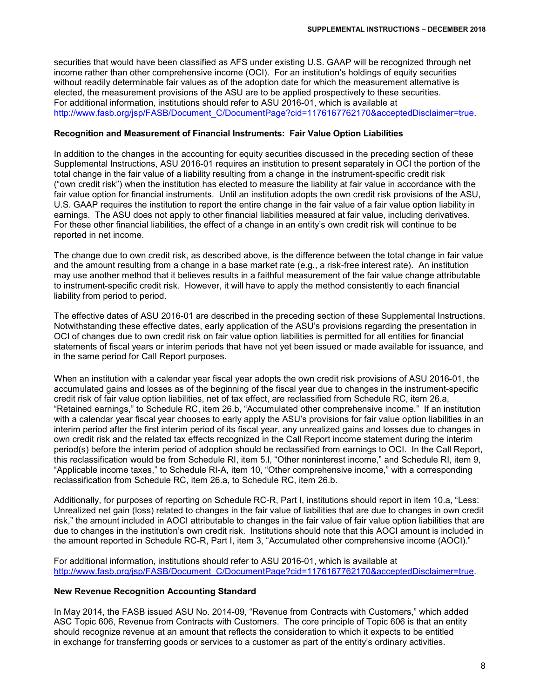securities that would have been classified as AFS under existing U.S. GAAP will be recognized through net income rather than other comprehensive income (OCI). For an institution's holdings of equity securities without readily determinable fair values as of the adoption date for which the measurement alternative is elected, the measurement provisions of the ASU are to be applied prospectively to these securities. For additional information, institutions should refer to ASU 2016-01, which is available at [http://www.fasb.org/jsp/FASB/Document\\_C/DocumentPage?cid=1176167762170&acceptedDisclaimer=true.](http://www.fasb.org/jsp/FASB/Document_C/DocumentPage?cid=1176167762170&acceptedDisclaimer=true)

## **Recognition and Measurement of Financial Instruments: Fair Value Option Liabilities**

In addition to the changes in the accounting for equity securities discussed in the preceding section of these Supplemental Instructions, ASU 2016-01 requires an institution to present separately in OCI the portion of the total change in the fair value of a liability resulting from a change in the instrument-specific credit risk ("own credit risk") when the institution has elected to measure the liability at fair value in accordance with the fair value option for financial instruments. Until an institution adopts the own credit risk provisions of the ASU, U.S. GAAP requires the institution to report the entire change in the fair value of a fair value option liability in earnings. The ASU does not apply to other financial liabilities measured at fair value, including derivatives. For these other financial liabilities, the effect of a change in an entity's own credit risk will continue to be reported in net income.

The change due to own credit risk, as described above, is the difference between the total change in fair value and the amount resulting from a change in a base market rate (e.g., a risk-free interest rate). An institution may use another method that it believes results in a faithful measurement of the fair value change attributable to instrument-specific credit risk. However, it will have to apply the method consistently to each financial liability from period to period.

The effective dates of ASU 2016-01 are described in the preceding section of these Supplemental Instructions. Notwithstanding these effective dates, early application of the ASU's provisions regarding the presentation in OCI of changes due to own credit risk on fair value option liabilities is permitted for all entities for financial statements of fiscal years or interim periods that have not yet been issued or made available for issuance, and in the same period for Call Report purposes.

When an institution with a calendar year fiscal year adopts the own credit risk provisions of ASU 2016-01, the accumulated gains and losses as of the beginning of the fiscal year due to changes in the instrument-specific credit risk of fair value option liabilities, net of tax effect, are reclassified from Schedule RC, item 26.a, "Retained earnings," to Schedule RC, item 26.b, "Accumulated other comprehensive income." If an institution with a calendar year fiscal year chooses to early apply the ASU's provisions for fair value option liabilities in an interim period after the first interim period of its fiscal year, any unrealized gains and losses due to changes in own credit risk and the related tax effects recognized in the Call Report income statement during the interim period(s) before the interim period of adoption should be reclassified from earnings to OCI. In the Call Report, this reclassification would be from Schedule RI, item 5.l, "Other noninterest income," and Schedule RI, item 9, "Applicable income taxes," to Schedule RI-A, item 10, "Other comprehensive income," with a corresponding reclassification from Schedule RC, item 26.a, to Schedule RC, item 26.b.

Additionally, for purposes of reporting on Schedule RC-R, Part I, institutions should report in item 10.a, "Less: Unrealized net gain (loss) related to changes in the fair value of liabilities that are due to changes in own credit risk," the amount included in AOCI attributable to changes in the fair value of fair value option liabilities that are due to changes in the institution's own credit risk. Institutions should note that this AOCI amount is included in the amount reported in Schedule RC-R, Part I, item 3, "Accumulated other comprehensive income (AOCI)."

For additional information, institutions should refer to ASU 2016-01, which is available at [http://www.fasb.org/jsp/FASB/Document\\_C/DocumentPage?cid=1176167762170&acceptedDisclaimer=true.](http://www.fasb.org/jsp/FASB/Document_C/DocumentPage?cid=1176167762170&acceptedDisclaimer=true)

#### **New Revenue Recognition Accounting Standard**

In May 2014, the FASB issued ASU No. 2014-09, "Revenue from Contracts with Customers," which added ASC Topic 606, Revenue from Contracts with Customers. The core principle of Topic 606 is that an entity should recognize revenue at an amount that reflects the consideration to which it expects to be entitled in exchange for transferring goods or services to a customer as part of the entity's ordinary activities.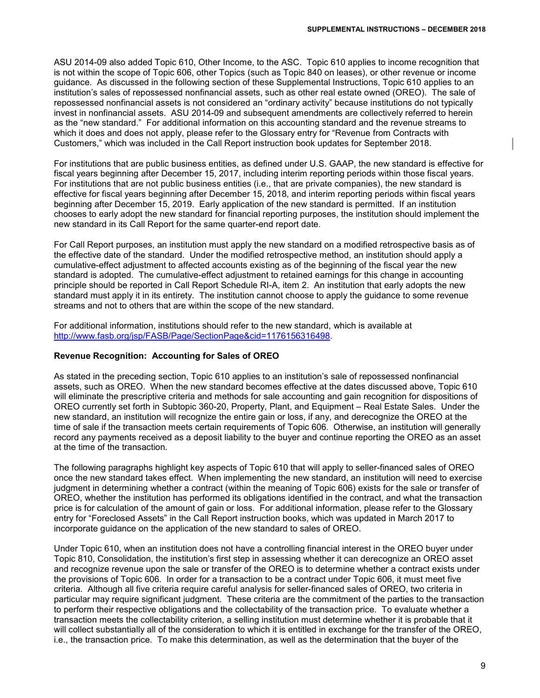ASU 2014-09 also added Topic 610, Other Income, to the ASC. Topic 610 applies to income recognition that is not within the scope of Topic 606, other Topics (such as Topic 840 on leases), or other revenue or income guidance. As discussed in the following section of these Supplemental Instructions, Topic 610 applies to an institution's sales of repossessed nonfinancial assets, such as other real estate owned (OREO). The sale of repossessed nonfinancial assets is not considered an "ordinary activity" because institutions do not typically invest in nonfinancial assets. ASU 2014-09 and subsequent amendments are collectively referred to herein as the "new standard." For additional information on this accounting standard and the revenue streams to which it does and does not apply, please refer to the Glossary entry for "Revenue from Contracts with Customers," which was included in the Call Report instruction book updates for September 2018.

For institutions that are public business entities, as defined under U.S. GAAP, the new standard is effective for fiscal years beginning after December 15, 2017, including interim reporting periods within those fiscal years. For institutions that are not public business entities (i.e., that are private companies), the new standard is effective for fiscal years beginning after December 15, 2018, and interim reporting periods within fiscal years beginning after December 15, 2019. Early application of the new standard is permitted. If an institution chooses to early adopt the new standard for financial reporting purposes, the institution should implement the new standard in its Call Report for the same quarter-end report date.

For Call Report purposes, an institution must apply the new standard on a modified retrospective basis as of the effective date of the standard. Under the modified retrospective method, an institution should apply a cumulative-effect adjustment to affected accounts existing as of the beginning of the fiscal year the new standard is adopted. The cumulative-effect adjustment to retained earnings for this change in accounting principle should be reported in Call Report Schedule RI-A, item 2. An institution that early adopts the new standard must apply it in its entirety. The institution cannot choose to apply the guidance to some revenue streams and not to others that are within the scope of the new standard.

For additional information, institutions should refer to the new standard, which is available at [http://www.fasb.org/jsp/FASB/Page/SectionPage&cid=1176156316498.](http://www.fasb.org/jsp/FASB/Page/SectionPage&cid=1176156316498)

## **Revenue Recognition: Accounting for Sales of OREO**

As stated in the preceding section, Topic 610 applies to an institution's sale of repossessed nonfinancial assets, such as OREO. When the new standard becomes effective at the dates discussed above, Topic 610 will eliminate the prescriptive criteria and methods for sale accounting and gain recognition for dispositions of OREO currently set forth in Subtopic 360-20, Property, Plant, and Equipment – Real Estate Sales. Under the new standard, an institution will recognize the entire gain or loss, if any, and derecognize the OREO at the time of sale if the transaction meets certain requirements of Topic 606. Otherwise, an institution will generally record any payments received as a deposit liability to the buyer and continue reporting the OREO as an asset at the time of the transaction.

The following paragraphs highlight key aspects of Topic 610 that will apply to seller-financed sales of OREO once the new standard takes effect. When implementing the new standard, an institution will need to exercise judgment in determining whether a contract (within the meaning of Topic 606) exists for the sale or transfer of OREO, whether the institution has performed its obligations identified in the contract, and what the transaction price is for calculation of the amount of gain or loss. For additional information, please refer to the Glossary entry for "Foreclosed Assets" in the Call Report instruction books, which was updated in March 2017 to incorporate guidance on the application of the new standard to sales of OREO.

Under Topic 610, when an institution does not have a controlling financial interest in the OREO buyer under Topic 810, Consolidation, the institution's first step in assessing whether it can derecognize an OREO asset and recognize revenue upon the sale or transfer of the OREO is to determine whether a contract exists under the provisions of Topic 606. In order for a transaction to be a contract under Topic 606, it must meet five criteria. Although all five criteria require careful analysis for seller-financed sales of OREO, two criteria in particular may require significant judgment. These criteria are the commitment of the parties to the transaction to perform their respective obligations and the collectability of the transaction price. To evaluate whether a transaction meets the collectability criterion, a selling institution must determine whether it is probable that it will collect substantially all of the consideration to which it is entitled in exchange for the transfer of the OREO, i.e., the transaction price. To make this determination, as well as the determination that the buyer of the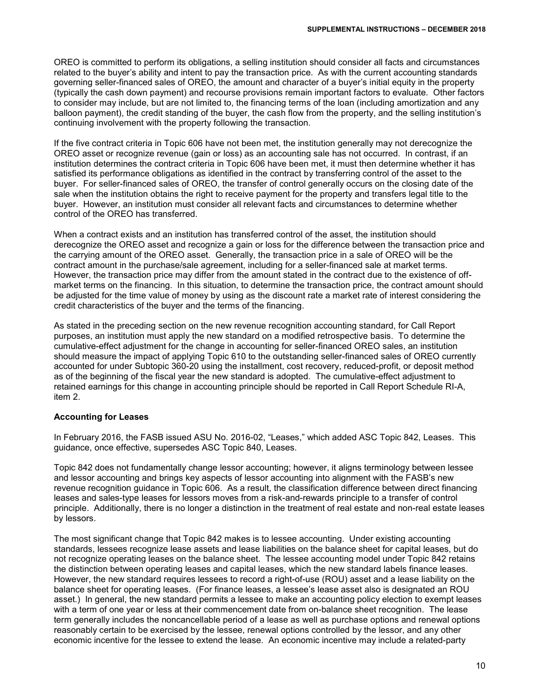OREO is committed to perform its obligations, a selling institution should consider all facts and circumstances related to the buyer's ability and intent to pay the transaction price. As with the current accounting standards governing seller-financed sales of OREO, the amount and character of a buyer's initial equity in the property (typically the cash down payment) and recourse provisions remain important factors to evaluate. Other factors to consider may include, but are not limited to, the financing terms of the loan (including amortization and any balloon payment), the credit standing of the buyer, the cash flow from the property, and the selling institution's continuing involvement with the property following the transaction.

If the five contract criteria in Topic 606 have not been met, the institution generally may not derecognize the OREO asset or recognize revenue (gain or loss) as an accounting sale has not occurred. In contrast, if an institution determines the contract criteria in Topic 606 have been met, it must then determine whether it has satisfied its performance obligations as identified in the contract by transferring control of the asset to the buyer. For seller-financed sales of OREO, the transfer of control generally occurs on the closing date of the sale when the institution obtains the right to receive payment for the property and transfers legal title to the buyer. However, an institution must consider all relevant facts and circumstances to determine whether control of the OREO has transferred.

When a contract exists and an institution has transferred control of the asset, the institution should derecognize the OREO asset and recognize a gain or loss for the difference between the transaction price and the carrying amount of the OREO asset. Generally, the transaction price in a sale of OREO will be the contract amount in the purchase/sale agreement, including for a seller-financed sale at market terms. However, the transaction price may differ from the amount stated in the contract due to the existence of offmarket terms on the financing. In this situation, to determine the transaction price, the contract amount should be adjusted for the time value of money by using as the discount rate a market rate of interest considering the credit characteristics of the buyer and the terms of the financing.

As stated in the preceding section on the new revenue recognition accounting standard, for Call Report purposes, an institution must apply the new standard on a modified retrospective basis. To determine the cumulative-effect adjustment for the change in accounting for seller-financed OREO sales, an institution should measure the impact of applying Topic 610 to the outstanding seller-financed sales of OREO currently accounted for under Subtopic 360-20 using the installment, cost recovery, reduced-profit, or deposit method as of the beginning of the fiscal year the new standard is adopted. The cumulative-effect adjustment to retained earnings for this change in accounting principle should be reported in Call Report Schedule RI-A, item 2.

## **Accounting for Leases**

In February 2016, the FASB issued ASU No. 2016-02, "Leases," which added ASC Topic 842, Leases. This guidance, once effective, supersedes ASC Topic 840, Leases.

Topic 842 does not fundamentally change lessor accounting; however, it aligns terminology between lessee and lessor accounting and brings key aspects of lessor accounting into alignment with the FASB's new revenue recognition guidance in Topic 606. As a result, the classification difference between direct financing leases and sales-type leases for lessors moves from a risk-and-rewards principle to a transfer of control principle. Additionally, there is no longer a distinction in the treatment of real estate and non-real estate leases by lessors.

The most significant change that Topic 842 makes is to lessee accounting. Under existing accounting standards, lessees recognize lease assets and lease liabilities on the balance sheet for capital leases, but do not recognize operating leases on the balance sheet. The lessee accounting model under Topic 842 retains the distinction between operating leases and capital leases, which the new standard labels finance leases. However, the new standard requires lessees to record a right-of-use (ROU) asset and a lease liability on the balance sheet for operating leases. (For finance leases, a lessee's lease asset also is designated an ROU asset.) In general, the new standard permits a lessee to make an accounting policy election to exempt leases with a term of one year or less at their commencement date from on-balance sheet recognition. The lease term generally includes the noncancellable period of a lease as well as purchase options and renewal options reasonably certain to be exercised by the lessee, renewal options controlled by the lessor, and any other economic incentive for the lessee to extend the lease. An economic incentive may include a related-party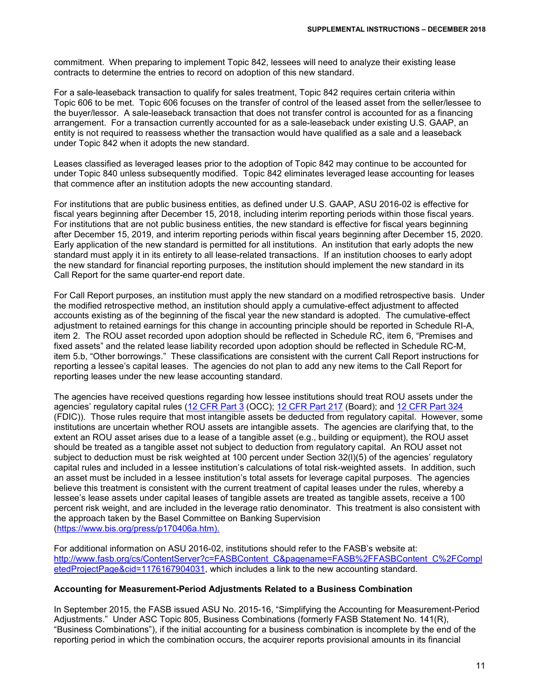commitment. When preparing to implement Topic 842, lessees will need to analyze their existing lease contracts to determine the entries to record on adoption of this new standard.

For a sale-leaseback transaction to qualify for sales treatment, Topic 842 requires certain criteria within Topic 606 to be met. Topic 606 focuses on the transfer of control of the leased asset from the seller/lessee to the buyer/lessor. A sale-leaseback transaction that does not transfer control is accounted for as a financing arrangement. For a transaction currently accounted for as a sale-leaseback under existing U.S. GAAP, an entity is not required to reassess whether the transaction would have qualified as a sale and a leaseback under Topic 842 when it adopts the new standard.

Leases classified as leveraged leases prior to the adoption of Topic 842 may continue to be accounted for under Topic 840 unless subsequently modified. Topic 842 eliminates leveraged lease accounting for leases that commence after an institution adopts the new accounting standard.

For institutions that are public business entities, as defined under U.S. GAAP, ASU 2016-02 is effective for fiscal years beginning after December 15, 2018, including interim reporting periods within those fiscal years. For institutions that are not public business entities, the new standard is effective for fiscal years beginning after December 15, 2019, and interim reporting periods within fiscal years beginning after December 15, 2020. Early application of the new standard is permitted for all institutions. An institution that early adopts the new standard must apply it in its entirety to all lease-related transactions. If an institution chooses to early adopt the new standard for financial reporting purposes, the institution should implement the new standard in its Call Report for the same quarter-end report date.

For Call Report purposes, an institution must apply the new standard on a modified retrospective basis. Under the modified retrospective method, an institution should apply a cumulative-effect adjustment to affected accounts existing as of the beginning of the fiscal year the new standard is adopted. The cumulative-effect adjustment to retained earnings for this change in accounting principle should be reported in Schedule RI-A, item 2. The ROU asset recorded upon adoption should be reflected in Schedule RC, item 6, "Premises and fixed assets" and the related lease liability recorded upon adoption should be reflected in Schedule RC-M, item 5.b, "Other borrowings." These classifications are consistent with the current Call Report instructions for reporting a lessee's capital leases. The agencies do not plan to add any new items to the Call Report for reporting leases under the new lease accounting standard.

The agencies have received questions regarding how lessee institutions should treat ROU assets under the agencies' regulatory capital rules [\(12 CFR Part 3](https://www.ecfr.gov/cgi-bin/text-idx?SID=6a4386753d17214d1170526af6423e67&mc=true&node=pt12.1.3&rgn=div5) (OCC); [12 CFR Part 217](https://www.ecfr.gov/cgi-bin/text-idx?SID=6a4386753d17214d1170526af6423e67&mc=true&node=pt12.2.217&rgn=div5) (Board); and [12 CFR Part 324](https://www.ecfr.gov/cgi-bin/text-idx?SID=6a4386753d17214d1170526af6423e67&mc=true&node=pt12.5.324&rgn=div5) (FDIC)). Those rules require that most intangible assets be deducted from regulatory capital. However, some institutions are uncertain whether ROU assets are intangible assets. The agencies are clarifying that, to the extent an ROU asset arises due to a lease of a tangible asset (e.g., building or equipment), the ROU asset should be treated as a tangible asset not subject to deduction from regulatory capital. An ROU asset not subject to deduction must be risk weighted at 100 percent under Section 32(l)(5) of the agencies' regulatory capital rules and included in a lessee institution's calculations of total risk-weighted assets. In addition, such an asset must be included in a lessee institution's total assets for leverage capital purposes. The agencies believe this treatment is consistent with the current treatment of capital leases under the rules, whereby a lessee's lease assets under capital leases of tangible assets are treated as tangible assets, receive a 100 percent risk weight, and are included in the leverage ratio denominator. This treatment is also consistent with the approach taken by the Basel Committee on Banking Supervision [\(https://www.bis.org/press/p170406a.htm\)](https://www.bis.org/press/p170406a.htm).

For additional information on ASU 2016-02, institutions should refer to the FASB's website at: [http://www.fasb.org/cs/ContentServer?c=FASBContent\\_C&pagename=FASB%2FFASBContent\\_C%2FCompl](http://www.fasb.org/cs/ContentServer?c=FASBContent_C&pagename=FASB%2FFASBContent_C%2FCompletedProjectPage&cid=1176167904031) [etedProjectPage&cid=1176167904031,](http://www.fasb.org/cs/ContentServer?c=FASBContent_C&pagename=FASB%2FFASBContent_C%2FCompletedProjectPage&cid=1176167904031) which includes a link to the new accounting standard.

## **Accounting for Measurement-Period Adjustments Related to a Business Combination**

In September 2015, the FASB issued ASU No. 2015-16, "Simplifying the Accounting for Measurement-Period Adjustments." Under ASC Topic 805, Business Combinations (formerly FASB Statement No. 141(R), "Business Combinations"), if the initial accounting for a business combination is incomplete by the end of the reporting period in which the combination occurs, the acquirer reports provisional amounts in its financial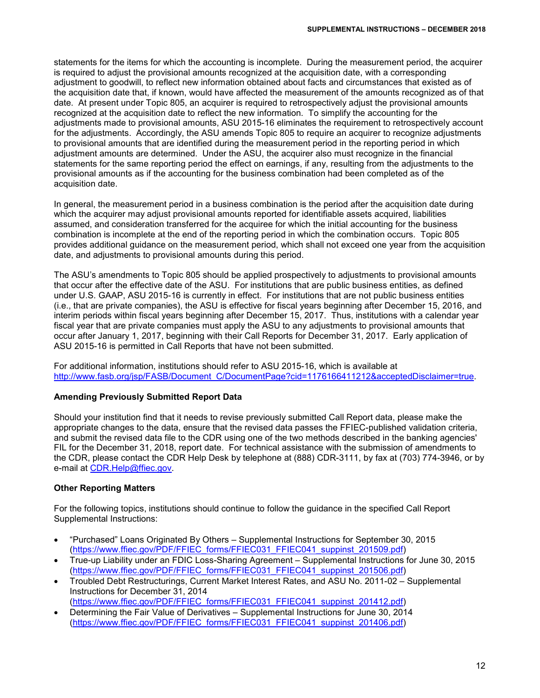statements for the items for which the accounting is incomplete. During the measurement period, the acquirer is required to adjust the provisional amounts recognized at the acquisition date, with a corresponding adjustment to goodwill, to reflect new information obtained about facts and circumstances that existed as of the acquisition date that, if known, would have affected the measurement of the amounts recognized as of that date. At present under Topic 805, an acquirer is required to retrospectively adjust the provisional amounts recognized at the acquisition date to reflect the new information. To simplify the accounting for the adjustments made to provisional amounts, ASU 2015-16 eliminates the requirement to retrospectively account for the adjustments. Accordingly, the ASU amends Topic 805 to require an acquirer to recognize adjustments to provisional amounts that are identified during the measurement period in the reporting period in which adjustment amounts are determined. Under the ASU, the acquirer also must recognize in the financial statements for the same reporting period the effect on earnings, if any, resulting from the adjustments to the provisional amounts as if the accounting for the business combination had been completed as of the acquisition date.

In general, the measurement period in a business combination is the period after the acquisition date during which the acquirer may adjust provisional amounts reported for identifiable assets acquired, liabilities assumed, and consideration transferred for the acquiree for which the initial accounting for the business combination is incomplete at the end of the reporting period in which the combination occurs. Topic 805 provides additional guidance on the measurement period, which shall not exceed one year from the acquisition date, and adjustments to provisional amounts during this period.

The ASU's amendments to Topic 805 should be applied prospectively to adjustments to provisional amounts that occur after the effective date of the ASU. For institutions that are public business entities, as defined under U.S. GAAP, ASU 2015-16 is currently in effect. For institutions that are not public business entities (i.e., that are private companies), the ASU is effective for fiscal years beginning after December 15, 2016, and interim periods within fiscal years beginning after December 15, 2017. Thus, institutions with a calendar year fiscal year that are private companies must apply the ASU to any adjustments to provisional amounts that occur after January 1, 2017, beginning with their Call Reports for December 31, 2017. Early application of ASU 2015-16 is permitted in Call Reports that have not been submitted.

For additional information, institutions should refer to ASU 2015-16, which is available at [http://www.fasb.org/jsp/FASB/Document\\_C/DocumentPage?cid=1176166411212&acceptedDisclaimer=true.](http://www.fasb.org/jsp/FASB/Document_C/DocumentPage?cid=1176166411212&acceptedDisclaimer=true)

## **Amending Previously Submitted Report Data**

Should your institution find that it needs to revise previously submitted Call Report data, please make the appropriate changes to the data, ensure that the revised data passes the FFIEC-published validation criteria, and submit the revised data file to the CDR using one of the two methods described in the banking agencies' FIL for the December 31, 2018, report date. For technical assistance with the submission of amendments to the CDR, please contact the CDR Help Desk by telephone at (888) CDR-3111, by fax at (703) 774-3946, or by e-mail at [CDR.Help@ffiec.gov.](mailto:CDR.Help@ffiec.gov)

## **Other Reporting Matters**

For the following topics, institutions should continue to follow the guidance in the specified Call Report Supplemental Instructions:

- "Purchased" Loans Originated By Others Supplemental Instructions for September 30, 2015 [\(https://www.ffiec.gov/PDF/FFIEC\\_forms/FFIEC031\\_FFIEC041\\_suppinst\\_201509.pdf\)](https://www.ffiec.gov/PDF/FFIEC_forms/FFIEC031_FFIEC041_suppinst_201509.pdf)
- True-up Liability under an FDIC Loss-Sharing Agreement Supplemental Instructions for June 30, 2015 [\(https://www.ffiec.gov/PDF/FFIEC\\_forms/FFIEC031\\_FFIEC041\\_suppinst\\_201506.pdf\)](https://www.ffiec.gov/PDF/FFIEC_forms/FFIEC031_FFIEC041_suppinst_201506.pdf)
- Troubled Debt Restructurings, Current Market Interest Rates, and ASU No. 2011-02 Supplemental Instructions for December 31, 2014 [\(https://www.ffiec.gov/PDF/FFIEC\\_forms/FFIEC031\\_FFIEC041\\_suppinst\\_201412.pdf\)](https://www.ffiec.gov/PDF/FFIEC_forms/FFIEC031_FFIEC041_suppinst_201412.pdf)
- Determining the Fair Value of Derivatives Supplemental Instructions for June 30, 2014 [\(https://www.ffiec.gov/PDF/FFIEC\\_forms/FFIEC031\\_FFIEC041\\_suppinst\\_201406.pdf\)](https://www.ffiec.gov/PDF/FFIEC_forms/FFIEC031_FFIEC041_suppinst_201406.pdf)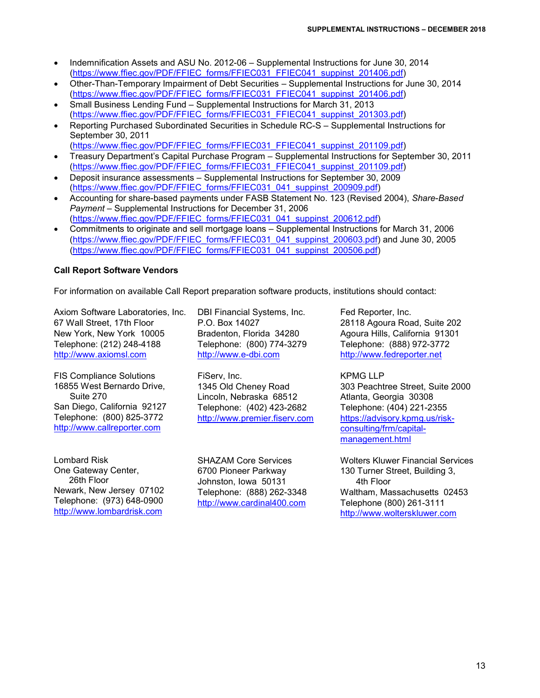- Indemnification Assets and ASU No. 2012-06 Supplemental Instructions for June 30, 2014 [\(https://www.ffiec.gov/PDF/FFIEC\\_forms/FFIEC031\\_FFIEC041\\_suppinst\\_201406.pdf\)](https://www.ffiec.gov/PDF/FFIEC_forms/FFIEC031_FFIEC041_suppinst_201406.pdf)
- Other-Than-Temporary Impairment of Debt Securities Supplemental Instructions for June 30, 2014 [\(https://www.ffiec.gov/PDF/FFIEC\\_forms/FFIEC031\\_FFIEC041\\_suppinst\\_201406.pdf\)](https://www.ffiec.gov/PDF/FFIEC_forms/FFIEC031_FFIEC041_suppinst_201406.pdf)
- Small Business Lending Fund Supplemental Instructions for March 31, 2013 [\(https://www.ffiec.gov/PDF/FFIEC\\_forms/FFIEC031\\_FFIEC041\\_suppinst\\_201303.pdf\)](https://www.ffiec.gov/PDF/FFIEC_forms/FFIEC031_FFIEC041_suppinst_201303.pdf)
- Reporting Purchased Subordinated Securities in Schedule RC-S Supplemental Instructions for September 30, 2011
- [\(https://www.ffiec.gov/PDF/FFIEC\\_forms/FFIEC031\\_FFIEC041\\_suppinst\\_201109.pdf\)](https://www.ffiec.gov/PDF/FFIEC_forms/FFIEC031_FFIEC041_suppinst_201109.pdf)
- Treasury Department's Capital Purchase Program Supplemental Instructions for September 30, 2011 [\(https://www.ffiec.gov/PDF/FFIEC\\_forms/FFIEC031\\_FFIEC041\\_suppinst\\_201109.pdf\)](https://www.ffiec.gov/PDF/FFIEC_forms/FFIEC031_FFIEC041_suppinst_201109.pdf)
- Deposit insurance assessments Supplemental Instructions for September 30, 2009 [\(https://www.ffiec.gov/PDF/FFIEC\\_forms/FFIEC031\\_041\\_suppinst\\_200909.pdf\)](https://www.ffiec.gov/PDF/FFIEC_forms/FFIEC031_041_suppinst_200909.pdf)
- Accounting for share-based payments under FASB Statement No. 123 (Revised 2004), *Share-Based Payment* – Supplemental Instructions for December 31, 2006 [\(https://www.ffiec.gov/PDF/FFIEC\\_forms/FFIEC031\\_041\\_suppinst\\_200612.pdf\)](https://www.ffiec.gov/PDF/FFIEC_forms/FFIEC031_041_suppinst_200612.pdf)
- Commitments to originate and sell mortgage loans Supplemental Instructions for March 31, 2006 [\(https://www.ffiec.gov/PDF/FFIEC\\_forms/FFIEC031\\_041\\_suppinst\\_200603.pdf\)](https://www.ffiec.gov/PDF/FFIEC_forms/FFIEC031_041_suppinst_200603.pdf) and June 30, 2005 [\(https://www.ffiec.gov/PDF/FFIEC\\_forms/FFIEC031\\_041\\_suppinst\\_200506.pdf\)](https://www.ffiec.gov/PDF/FFIEC_forms/FFIEC031_041_suppinst_200506.pdf)

# **Call Report Software Vendors**

For information on available Call Report preparation software products, institutions should contact:

Axiom Software Laboratories, Inc. 67 Wall Street, 17th Floor New York, New York 10005 Telephone: (212) 248-4188 [http://www.axiomsl.com](http://www.axiomsl.com/)

FIS Compliance Solutions 16855 West Bernardo Drive, Suite 270 San Diego, California 92127 Telephone: (800) 825-3772 [http://www.callreporter.com](http://www.callreporter.com/)

Lombard Risk One Gateway Center, 26th Floor Newark, New Jersey 07102 Telephone: (973) 648-0900 [http://www.lombardrisk.com](http://www.lombardrisk.com/)

DBI Financial Systems, Inc. P.O. Box 14027 Bradenton, Florida 34280 Telephone: (800) 774-3279 [http://www.e-dbi.com](http://www.e-dbi.com/)

FiServ, Inc. 1345 Old Cheney Road Lincoln, Nebraska 68512 Telephone: (402) 423-2682 [http://www.premier.fiserv.com](http://www.premier.fiserv.com/)

SHAZAM Core Services 6700 Pioneer Parkway Johnston, Iowa 50131 Telephone: (888) 262-3348 [http://www.cardinal400.com](http://www.cardinal400.com/) Fed Reporter, Inc. 28118 Agoura Road, Suite 202 Agoura Hills, California 91301 Telephone: (888) 972-3772 [http://www.fedreporter.net](http://www.fedreporter.net/)

KPMG LLP 303 Peachtree Street, Suite 2000 Atlanta, Georgia 30308 Telephone: (404) 221-2355 [https://advisory.kpmg.us/risk](https://advisory.kpmg.us/risk-consulting/frm/capital-management.html)[consulting/frm/capital](https://advisory.kpmg.us/risk-consulting/frm/capital-management.html)[management.html](https://advisory.kpmg.us/risk-consulting/frm/capital-management.html)

Wolters Kluwer Financial Services 130 Turner Street, Building 3, 4th Floor Waltham, Massachusetts 02453 Telephone (800) 261-3111 [http://www.wolterskluwer.com](http://www.wolterskluwer.com/)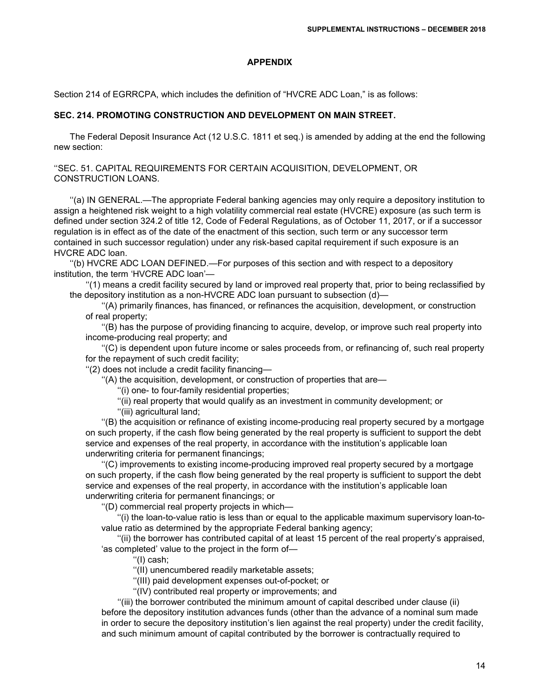#### **APPENDIX**

Section 214 of EGRRCPA, which includes the definition of "HVCRE ADC Loan," is as follows:

#### **SEC. 214. PROMOTING CONSTRUCTION AND DEVELOPMENT ON MAIN STREET.**

The Federal Deposit Insurance Act (12 U.S.C. 1811 et seq.) is amended by adding at the end the following new section:

''SEC. 51. CAPITAL REQUIREMENTS FOR CERTAIN ACQUISITION, DEVELOPMENT, OR CONSTRUCTION LOANS.

''(a) IN GENERAL.—The appropriate Federal banking agencies may only require a depository institution to assign a heightened risk weight to a high volatility commercial real estate (HVCRE) exposure (as such term is defined under section 324.2 of title 12, Code of Federal Regulations, as of October 11, 2017, or if a successor regulation is in effect as of the date of the enactment of this section, such term or any successor term contained in such successor regulation) under any risk-based capital requirement if such exposure is an HVCRE ADC loan.

''(b) HVCRE ADC LOAN DEFINED.—For purposes of this section and with respect to a depository institution, the term 'HVCRE ADC loan'—

''(1) means a credit facility secured by land or improved real property that, prior to being reclassified by the depository institution as a non-HVCRE ADC loan pursuant to subsection (d)—

''(A) primarily finances, has financed, or refinances the acquisition, development, or construction of real property;

''(B) has the purpose of providing financing to acquire, develop, or improve such real property into income-producing real property; and

''(C) is dependent upon future income or sales proceeds from, or refinancing of, such real property for the repayment of such credit facility;

''(2) does not include a credit facility financing—

''(A) the acquisition, development, or construction of properties that are—

''(i) one- to four-family residential properties;

''(ii) real property that would qualify as an investment in community development; or

''(iii) agricultural land;

''(B) the acquisition or refinance of existing income-producing real property secured by a mortgage on such property, if the cash flow being generated by the real property is sufficient to support the debt service and expenses of the real property, in accordance with the institution's applicable loan underwriting criteria for permanent financings;

''(C) improvements to existing income-producing improved real property secured by a mortgage on such property, if the cash flow being generated by the real property is sufficient to support the debt service and expenses of the real property, in accordance with the institution's applicable loan underwriting criteria for permanent financings; or

''(D) commercial real property projects in which—

''(i) the loan-to-value ratio is less than or equal to the applicable maximum supervisory loan-tovalue ratio as determined by the appropriate Federal banking agency;

''(ii) the borrower has contributed capital of at least 15 percent of the real property's appraised, 'as completed' value to the project in the form of—

''(I) cash;

''(II) unencumbered readily marketable assets;

''(III) paid development expenses out-of-pocket; or

''(IV) contributed real property or improvements; and

''(iii) the borrower contributed the minimum amount of capital described under clause (ii) before the depository institution advances funds (other than the advance of a nominal sum made in order to secure the depository institution's lien against the real property) under the credit facility, and such minimum amount of capital contributed by the borrower is contractually required to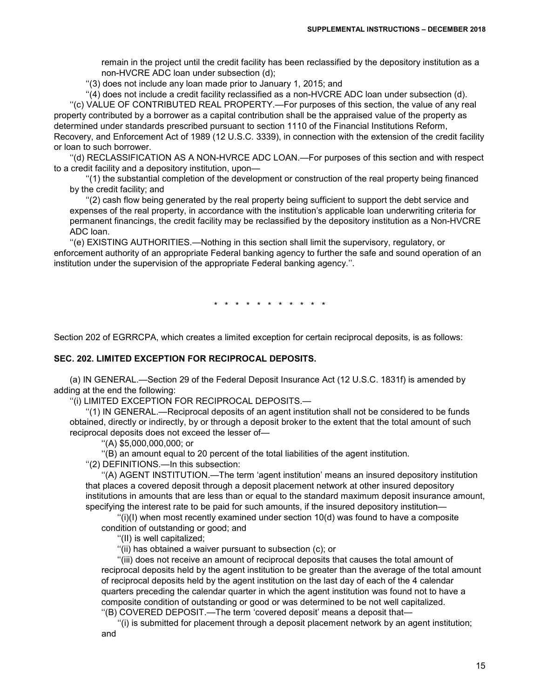remain in the project until the credit facility has been reclassified by the depository institution as a non-HVCRE ADC loan under subsection (d);

''(3) does not include any loan made prior to January 1, 2015; and

''(4) does not include a credit facility reclassified as a non-HVCRE ADC loan under subsection (d). ''(c) VALUE OF CONTRIBUTED REAL PROPERTY.—For purposes of this section, the value of any real property contributed by a borrower as a capital contribution shall be the appraised value of the property as determined under standards prescribed pursuant to section 1110 of the Financial Institutions Reform, Recovery, and Enforcement Act of 1989 (12 U.S.C. 3339), in connection with the extension of the credit facility or loan to such borrower.

''(d) RECLASSIFICATION AS A NON-HVRCE ADC LOAN.—For purposes of this section and with respect to a credit facility and a depository institution, upon—

''(1) the substantial completion of the development or construction of the real property being financed by the credit facility; and

''(2) cash flow being generated by the real property being sufficient to support the debt service and expenses of the real property, in accordance with the institution's applicable loan underwriting criteria for permanent financings, the credit facility may be reclassified by the depository institution as a Non-HVCRE ADC loan.

''(e) EXISTING AUTHORITIES.—Nothing in this section shall limit the supervisory, regulatory, or enforcement authority of an appropriate Federal banking agency to further the safe and sound operation of an institution under the supervision of the appropriate Federal banking agency.''.

\* \* \* \* \* \* \* \* \* \* \*

Section 202 of EGRRCPA, which creates a limited exception for certain reciprocal deposits, is as follows:

#### **SEC. 202. LIMITED EXCEPTION FOR RECIPROCAL DEPOSITS.**

(a) IN GENERAL.—Section 29 of the Federal Deposit Insurance Act (12 U.S.C. 1831f) is amended by adding at the end the following:

''(i) LIMITED EXCEPTION FOR RECIPROCAL DEPOSITS.—

''(1) IN GENERAL.—Reciprocal deposits of an agent institution shall not be considered to be funds obtained, directly or indirectly, by or through a deposit broker to the extent that the total amount of such reciprocal deposits does not exceed the lesser of—

''(A) \$5,000,000,000; or

''(B) an amount equal to 20 percent of the total liabilities of the agent institution.

''(2) DEFINITIONS.—In this subsection:

''(A) AGENT INSTITUTION.—The term 'agent institution' means an insured depository institution that places a covered deposit through a deposit placement network at other insured depository institutions in amounts that are less than or equal to the standard maximum deposit insurance amount, specifying the interest rate to be paid for such amounts, if the insured depository institution—

 $''(i)(l)$  when most recently examined under section 10(d) was found to have a composite condition of outstanding or good; and

''(II) is well capitalized;

''(ii) has obtained a waiver pursuant to subsection (c); or

''(iii) does not receive an amount of reciprocal deposits that causes the total amount of reciprocal deposits held by the agent institution to be greater than the average of the total amount of reciprocal deposits held by the agent institution on the last day of each of the 4 calendar quarters preceding the calendar quarter in which the agent institution was found not to have a composite condition of outstanding or good or was determined to be not well capitalized. ''(B) COVERED DEPOSIT.—The term 'covered deposit' means a deposit that—

''(i) is submitted for placement through a deposit placement network by an agent institution; and